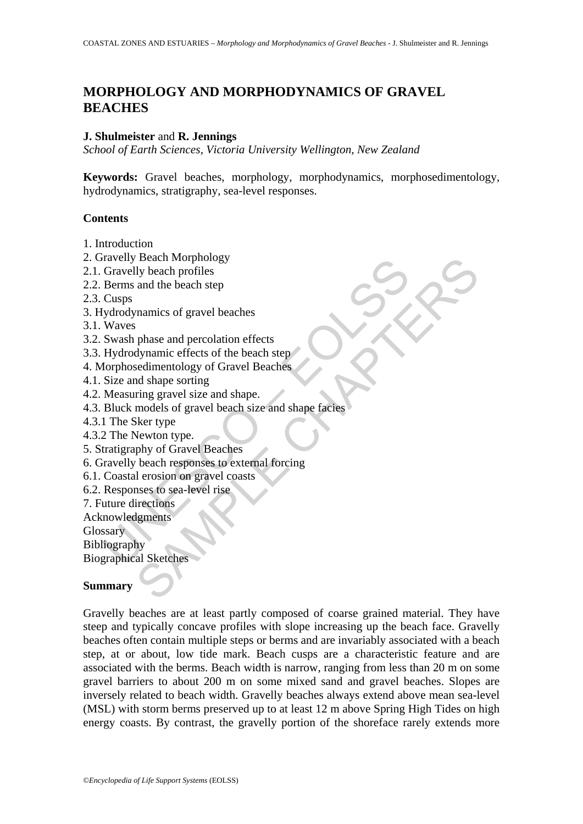# **MORPHOLOGY AND MORPHODYNAMICS OF GRAVEL BEACHES**

#### **J. Shulmeister** and **R. Jennings**

*School of Earth Sciences, Victoria University Wellington, New Zealand* 

**Keywords:** Gravel beaches, morphology, morphodynamics, morphosedimentology, hydrodynamics, stratigraphy, sea-level responses.

### **Contents**

- 1. Introduction
- 2. Gravelly Beach Morphology
- 2.1. Gravelly beach profiles
- 2.2. Berms and the beach step
- 2.3. Cusps
- 3. Hydrodynamics of gravel beaches
- 3.1. Waves
- 3.2. Swash phase and percolation effects
- 3.3. Hydrodynamic effects of the beach step
- 4. Morphosedimentology of Gravel Beaches
- 4.1. Size and shape sorting
- 4.2. Measuring gravel size and shape.
- The same of the beach states are all the beach states are all the beach star and the beach step<br>Cusps<br>Berms and the beach step<br>Cusps<br>(ydrodynamics of gravel beaches<br>Waves<br>Swash phase and percolation effects<br>Morphosedimento Beach Morphology<br>
and the beach step<br>
and the beach step<br>
mannics of gravel beaches<br>
cedimentology of Gravel Beaches<br>
d shape sorting<br>
d shape sorting<br>
and shape sorting<br>
and shape sorting<br>
models of gravel beach size and 4.3. Bluck models of gravel beach size and shape facies
- 4.3.1 The Sker type
- 4.3.2 The Newton type.
- 5. Stratigraphy of Gravel Beaches
- 6. Gravelly beach responses to external forcing
- 6.1. Coastal erosion on gravel coasts
- 6.2. Responses to sea-level rise
- 7. Future directions
- Acknowledgments
- **Glossary**

Bibliography

Biographical Sketches

## **Summary**

Gravelly beaches are at least partly composed of coarse grained material. They have steep and typically concave profiles with slope increasing up the beach face. Gravelly beaches often contain multiple steps or berms and are invariably associated with a beach step, at or about, low tide mark. Beach cusps are a characteristic feature and are associated with the berms. Beach width is narrow, ranging from less than 20 m on some gravel barriers to about 200 m on some mixed sand and gravel beaches. Slopes are inversely related to beach width. Gravelly beaches always extend above mean sea-level (MSL) with storm berms preserved up to at least 12 m above Spring High Tides on high energy coasts. By contrast, the gravelly portion of the shoreface rarely extends more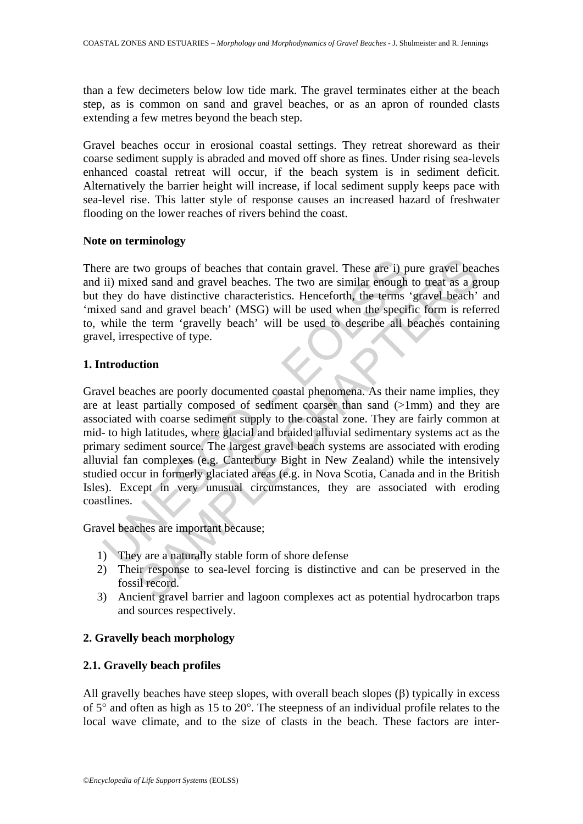than a few decimeters below low tide mark. The gravel terminates either at the beach step, as is common on sand and gravel beaches, or as an apron of rounded clasts extending a few metres beyond the beach step.

Gravel beaches occur in erosional coastal settings. They retreat shoreward as their coarse sediment supply is abraded and moved off shore as fines. Under rising sea-levels enhanced coastal retreat will occur, if the beach system is in sediment deficit. Alternatively the barrier height will increase, if local sediment supply keeps pace with sea-level rise. This latter style of response causes an increased hazard of freshwater flooding on the lower reaches of rivers behind the coast.

## **Note on terminology**

There are two groups of beaches that contain gravel. These are i) pure gravel beaches and ii) mixed sand and gravel beaches. The two are similar enough to treat as a group but they do have distinctive characteristics. Henceforth, the terms 'gravel beach' and 'mixed sand and gravel beach' (MSG) will be used when the specific form is referred to, while the term 'gravelly beach' will be used to describe all beaches containing gravel, irrespective of type.

## **1. Introduction**

re are two groups of beaches that contain gravel. These are i) p<br>ii) mixed sand and gravel beaches. The two are similar enough<br>they do have distinctive characteristics. Henceforth, the terms<br>ved sand and gravel beach' (MSG two groups of beaches that contain gravel. These are i) pure gravel beached sand and gravel beaches. The two are similar enough to treat as a gravel shared and gravel beach' (MSG) will be used when the specific form is ref Gravel beaches are poorly documented coastal phenomena. As their name implies, they are at least partially composed of sediment coarser than sand (>1mm) and they are associated with coarse sediment supply to the coastal zone. They are fairly common at mid- to high latitudes, where glacial and braided alluvial sedimentary systems act as the primary sediment source. The largest gravel beach systems are associated with eroding alluvial fan complexes (e.g. Canterbury Bight in New Zealand) while the intensively studied occur in formerly glaciated areas (e.g. in Nova Scotia, Canada and in the British Isles). Except in very unusual circumstances, they are associated with eroding coastlines.

Gravel beaches are important because;

- 1) They are a naturally stable form of shore defense
- 2) Their response to sea-level forcing is distinctive and can be preserved in the fossil record.
- 3) Ancient gravel barrier and lagoon complexes act as potential hydrocarbon traps and sources respectively.

## **2. Gravelly beach morphology**

## **2.1. Gravelly beach profiles**

All gravelly beaches have steep slopes, with overall beach slopes (β) typically in excess of 5° and often as high as 15 to 20°. The steepness of an individual profile relates to the local wave climate, and to the size of clasts in the beach. These factors are inter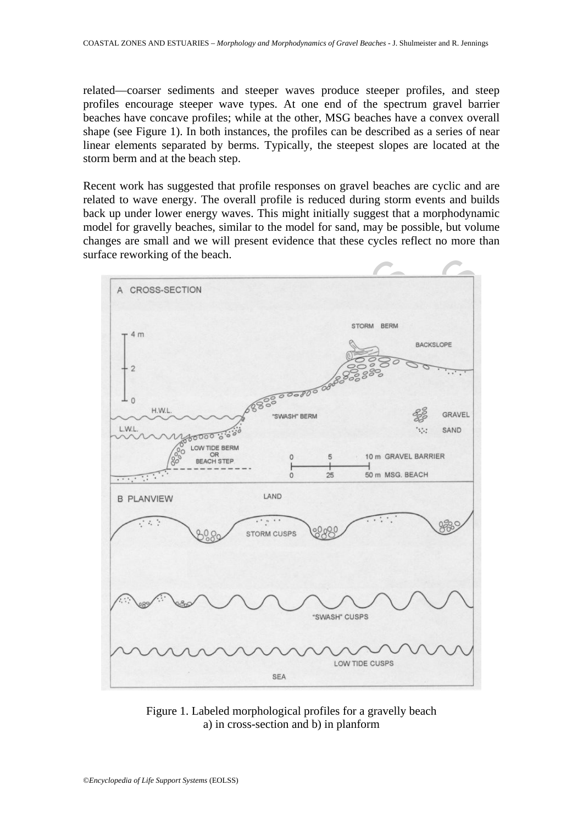related—coarser sediments and steeper waves produce steeper profiles, and steep profiles encourage steeper wave types. At one end of the spectrum gravel barrier beaches have concave profiles; while at the other, MSG beaches have a convex overall shape (see Figure 1). In both instances, the profiles can be described as a series of near linear elements separated by berms. Typically, the steepest slopes are located at the storm berm and at the beach step.

Recent work has suggested that profile responses on gravel beaches are cyclic and are related to wave energy. The overall profile is reduced during storm events and builds back up under lower energy waves. This might initially suggest that a morphodynamic model for gravelly beaches, similar to the model for sand, may be possible, but volume changes are small and we will present evidence that these cycles reflect no more than surface reworking of the beach.



Figure 1. Labeled morphological profiles for a gravelly beach a) in cross-section and b) in planform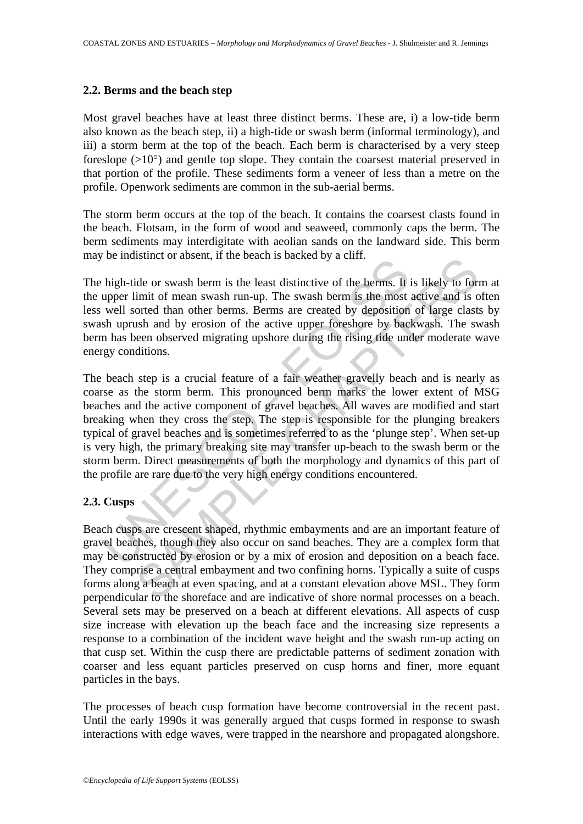### **2.2. Berms and the beach step**

Most gravel beaches have at least three distinct berms. These are, i) a low-tide berm also known as the beach step, ii) a high-tide or swash berm (informal terminology), and iii) a storm berm at the top of the beach. Each berm is characterised by a very steep foreslope  $(>10^{\circ})$  and gentle top slope. They contain the coarsest material preserved in that portion of the profile. These sediments form a veneer of less than a metre on the profile. Openwork sediments are common in the sub-aerial berms.

The storm berm occurs at the top of the beach. It contains the coarsest clasts found in the beach. Flotsam, in the form of wood and seaweed, commonly caps the berm. The berm sediments may interdigitate with aeolian sands on the landward side. This berm may be indistinct or absent, if the beach is backed by a cliff.

The high-tide or swash berm is the least distinctive of the berms. It is likely to form at the upper limit of mean swash run-up. The swash berm is the most active and is often less well sorted than other berms. Berms are created by deposition of large clasts by swash uprush and by erosion of the active upper foreshore by backwash. The swash berm has been observed migrating upshore during the rising tide under moderate wave energy conditions.

be maismet of absent, if and beach is backed by a chility.<br>
high-tide or swash berm is the least distinctive of the berms. It<br>
upper limit of mean swash run-up. The swash berm is the most<br>
well sorted than other berms. Ber is the of a worsth, it the beach is backed by a cint.<br>
dide or swash berm is the least distinctive of the berms. It is likely to form<br>
init of mean swash run-up. The swash berm is the most active and is or<br>
orted than othe The beach step is a crucial feature of a fair weather gravelly beach and is nearly as coarse as the storm berm. This pronounced berm marks the lower extent of MSG beaches and the active component of gravel beaches. All waves are modified and start breaking when they cross the step. The step is responsible for the plunging breakers typical of gravel beaches and is sometimes referred to as the 'plunge step'. When set-up is very high, the primary breaking site may transfer up-beach to the swash berm or the storm berm. Direct measurements of both the morphology and dynamics of this part of the profile are rare due to the very high energy conditions encountered.

## **2.3. Cusps**

Beach cusps are crescent shaped, rhythmic embayments and are an important feature of gravel beaches, though they also occur on sand beaches. They are a complex form that may be constructed by erosion or by a mix of erosion and deposition on a beach face. They comprise a central embayment and two confining horns. Typically a suite of cusps forms along a beach at even spacing, and at a constant elevation above MSL. They form perpendicular to the shoreface and are indicative of shore normal processes on a beach. Several sets may be preserved on a beach at different elevations. All aspects of cusp size increase with elevation up the beach face and the increasing size represents a response to a combination of the incident wave height and the swash run-up acting on that cusp set. Within the cusp there are predictable patterns of sediment zonation with coarser and less equant particles preserved on cusp horns and finer, more equant particles in the bays.

The processes of beach cusp formation have become controversial in the recent past. Until the early 1990s it was generally argued that cusps formed in response to swash interactions with edge waves, were trapped in the nearshore and propagated alongshore.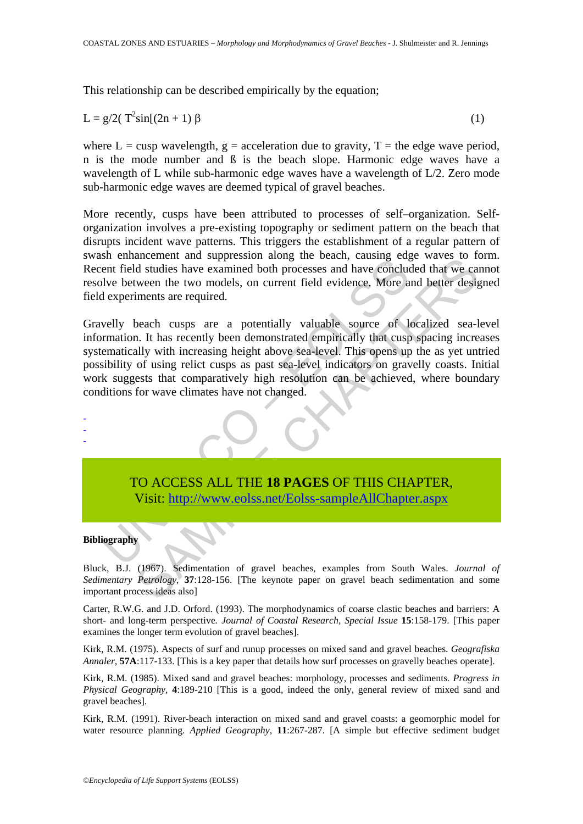This relationship can be described empirically by the equation;

$$
L = g/2(T^2 \sin[(2n+1)\beta \tag{1})
$$

where  $L = cusp$  wavelength,  $g = acceleration$  due to gravity,  $T = the$  edge wave period, n is the mode number and ß is the beach slope. Harmonic edge waves have a wavelength of L while sub-harmonic edge waves have a wavelength of L/2. Zero mode sub-harmonic edge waves are deemed typical of gravel beaches.

More recently, cusps have been attributed to processes of self–organization. Selforganization involves a pre-existing topography or sediment pattern on the beach that disrupts incident wave patterns. This triggers the establishment of a regular pattern of swash enhancement and suppression along the beach, causing edge waves to form. Recent field studies have examined both processes and have concluded that we cannot resolve between the two models, on current field evidence. More and better designed field experiments are required.

Gravelly beach cusps are a potentially valuable source of localized sea-level information. It has recently been demonstrated empirically that cusp spacing increases systematically with increasing height above sea-level. This opens up the as yet untried possibility of using relict cusps as past sea-level indicators on gravelly coasts. Initial work suggests that comparatively high resolution can be achieved, where boundary conditions for wave climates have not changed.



Bluck, B.J. (1967). Sedimentation of gravel beaches, examples from South Wales. *Journal of Sedimentary Petrology*, **37**:128-156. [The keynote paper on gravel beach sedimentation and some important process ideas also]

Carter, R.W.G. and J.D. Orford. (1993). The morphodynamics of coarse clastic beaches and barriers: A short- and long-term perspective*. Journal of Coastal Research, Special Issue* **15**:158-179. [This paper examines the longer term evolution of gravel beaches].

Kirk, R.M. (1975). Aspects of surf and runup processes on mixed sand and gravel beaches. *Geografiska Annaler*, **57A**:117-133. [This is a key paper that details how surf processes on gravelly beaches operate].

Kirk, R.M. (1985). Mixed sand and gravel beaches: morphology, processes and sediments. *Progress in Physical Geography*, **4**:189-210 [This is a good, indeed the only, general review of mixed sand and gravel beaches].

Kirk, R.M. (1991). River-beach interaction on mixed sand and gravel coasts: a geomorphic model for water resource planning. *Applied Geography*, **11**:267-287. [A simple but effective sediment budget

-